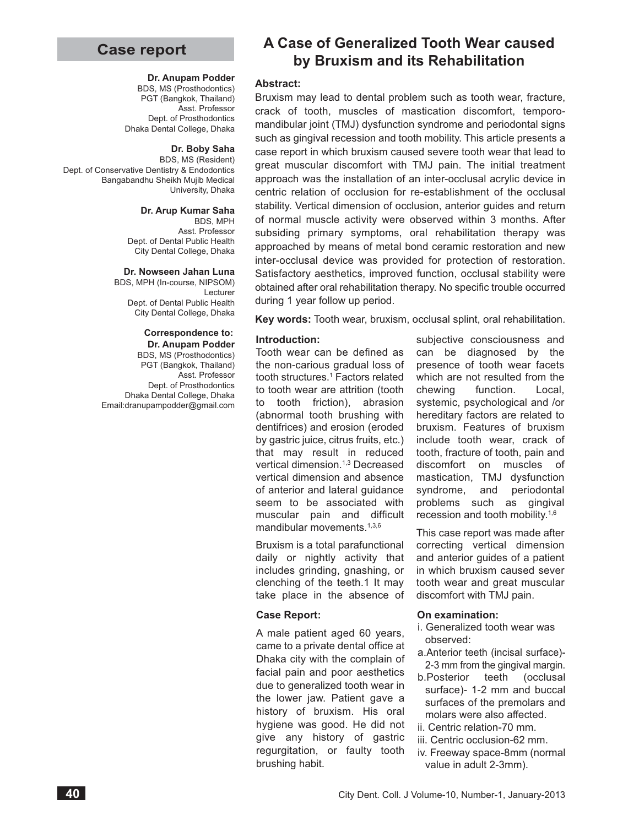# **Case report**

#### **Dr. Anupam Podder**

BDS, MS (Prosthodontics) PGT (Bangkok, Thailand) Asst. Professor Dept. of Prosthodontics Dhaka Dental College, Dhaka

#### **Dr. Boby Saha**

BDS, MS (Resident) Dept. of Conservative Dentistry & Endodontics Bangabandhu Sheikh Mujib Medical University, Dhaka

#### **Dr. Arup Kumar Saha**

BDS, MPH Asst. Professor Dept. of Dental Public Health City Dental College, Dhaka

#### **Dr. Nowseen Jahan Luna**

BDS, MPH (In-course, NIPSOM) Lecturer Dept. of Dental Public Health City Dental College, Dhaka

#### **Correspondence to: Dr. Anupam Podder**

BDS, MS (Prosthodontics) PGT (Bangkok, Thailand) Asst. Professor Dept. of Prosthodontics Dhaka Dental College, Dhaka Email:dranupampodder@gmail.com

# **A Case of Generalized Tooth Wear caused by Bruxism and its Rehabilitation**

#### **Abstract:**

Bruxism may lead to dental problem such as tooth wear, fracture, crack of tooth, muscles of mastication discomfort, temporomandibular joint (TMJ) dysfunction syndrome and periodontal signs such as gingival recession and tooth mobility. This article presents a case report in which bruxism caused severe tooth wear that lead to great muscular discomfort with TMJ pain. The initial treatment approach was the installation of an inter-occlusal acrylic device in centric relation of occlusion for re-establishment of the occlusal stability. Vertical dimension of occlusion, anterior guides and return of normal muscle activity were observed within 3 months. After subsiding primary symptoms, oral rehabilitation therapy was approached by means of metal bond ceramic restoration and new inter-occlusal device was provided for protection of restoration. Satisfactory aesthetics, improved function, occlusal stability were obtained after oral rehabilitation therapy. No specific trouble occurred during 1 year follow up period.

**Key words:** Tooth wear, bruxism, occlusal splint, oral rehabilitation.

#### **Introduction:**

Tooth wear can be defined as the non-carious gradual loss of tooth structures.<sup>1</sup> Factors related to tooth wear are attrition (tooth to tooth friction), abrasion (abnormal tooth brushing with dentifrices) and erosion (eroded by gastric juice, citrus fruits, etc.) that may result in reduced vertical dimension.1,3 Decreased vertical dimension and absence of anterior and lateral guidance seem to be associated with muscular pain and difficult mandibular movements.1,3,6

Bruxism is a total parafunctional daily or nightly activity that includes grinding, gnashing, or clenching of the teeth.1 It may take place in the absence of

#### **Case Report:**

A male patient aged 60 years, came to a private dental office at Dhaka city with the complain of facial pain and poor aesthetics due to generalized tooth wear in the lower jaw. Patient gave a history of bruxism. His oral hygiene was good. He did not give any history of gastric regurgitation, or faulty tooth brushing habit.

subjective consciousness and can be diagnosed by the presence of tooth wear facets which are not resulted from the chewing function. Local, systemic, psychological and /or hereditary factors are related to bruxism. Features of bruxism include tooth wear, crack of tooth, fracture of tooth, pain and discomfort on muscles of mastication, TMJ dysfunction syndrome, and periodontal problems such as gingival recession and tooth mobility.1,6

This case report was made after correcting vertical dimension and anterior guides of a patient in which bruxism caused sever tooth wear and great muscular discomfort with TMJ pain.

#### **On examination:**

- i. Generalized tooth wear was observed:
- a.Anterior teeth (incisal surface)- 2-3 mm from the gingival margin.
- b.Posterior teeth (occlusal surface)- 1-2 mm and buccal surfaces of the premolars and molars were also affected.
- ii. Centric relation-70 mm.
- iii. Centric occlusion-62 mm. iv. Freeway space-8mm (normal value in adult 2-3mm).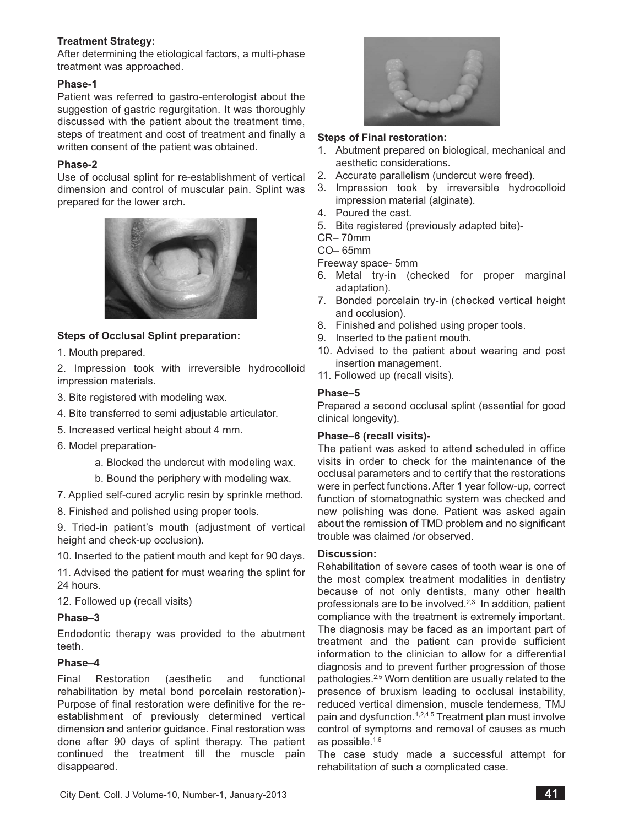## **Treatment Strategy:**

After determining the etiological factors, a multi-phase treatment was approached.

### **Phase-1**

Patient was referred to gastro-enterologist about the suggestion of gastric regurgitation. It was thoroughly discussed with the patient about the treatment time, steps of treatment and cost of treatment and finally a written consent of the patient was obtained.

## **Phase-2**

Use of occlusal splint for re-establishment of vertical dimension and control of muscular pain. Splint was prepared for the lower arch.



# **Steps of Occlusal Splint preparation:**

1. Mouth prepared.

2. Impression took with irreversible hydrocolloid impression materials.

- 3. Bite registered with modeling wax.
- 4. Bite transferred to semi adjustable articulator.
- 5. Increased vertical height about 4 mm.
- 6. Model preparation
	- a. Blocked the undercut with modeling wax.
	- b. Bound the periphery with modeling wax.
- 7. Applied self-cured acrylic resin by sprinkle method.
- 8. Finished and polished using proper tools.

9. Tried-in patient's mouth (adjustment of vertical height and check-up occlusion).

10. Inserted to the patient mouth and kept for 90 days.

11. Advised the patient for must wearing the splint for 24 hours.

12. Followed up (recall visits)

## **Phase–3**

Endodontic therapy was provided to the abutment teeth.

## **Phase–4**

Final Restoration (aesthetic and functional rehabilitation by metal bond porcelain restoration)- Purpose of final restoration were definitive for the reestablishment of previously determined vertical dimension and anterior guidance. Final restoration was done after 90 days of splint therapy. The patient continued the treatment till the muscle pain disappeared.



### **Steps of Final restoration:**

- 1. Abutment prepared on biological, mechanical and aesthetic considerations.
- 2. Accurate parallelism (undercut were freed).
- 3. Impression took by irreversible hydrocolloid impression material (alginate).
- 4. Poured the cast.
- 5. Bite registered (previously adapted bite)-
- CR– 70mm
- CO– 65mm

Freeway space- 5mm

- 6. Metal try-in (checked for proper marginal adaptation).
- 7. Bonded porcelain try-in (checked vertical height and occlusion).
- 8. Finished and polished using proper tools.
- 9. Inserted to the patient mouth.
- 10. Advised to the patient about wearing and post insertion management.
- 11. Followed up (recall visits).

### **Phase–5**

Prepared a second occlusal splint (essential for good clinical longevity).

## **Phase–6 (recall visits)-**

The patient was asked to attend scheduled in office visits in order to check for the maintenance of the occlusal parameters and to certify that the restorations were in perfect functions. After 1 year follow-up, correct function of stomatognathic system was checked and new polishing was done. Patient was asked again about the remission of TMD problem and no significant trouble was claimed /or observed.

#### **Discussion:**

Rehabilitation of severe cases of tooth wear is one of the most complex treatment modalities in dentistry because of not only dentists, many other health professionals are to be involved.<sup>2,3</sup> In addition, patient compliance with the treatment is extremely important. The diagnosis may be faced as an important part of treatment and the patient can provide sufficient information to the clinician to allow for a differential diagnosis and to prevent further progression of those pathologies.2,5 Worn dentition are usually related to the presence of bruxism leading to occlusal instability, reduced vertical dimension, muscle tenderness, TMJ pain and dysfunction.<sup>1,2,4.5</sup> Treatment plan must involve control of symptoms and removal of causes as much as possible.1,6

The case study made a successful attempt for rehabilitation of such a complicated case.